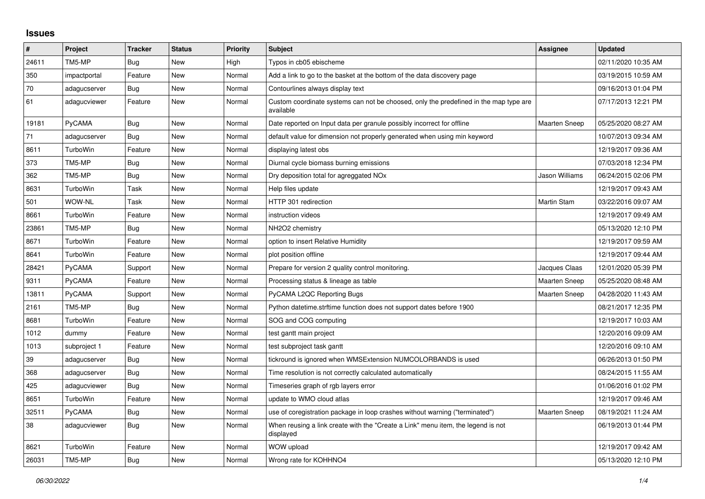## **Issues**

| #     | Project       | <b>Tracker</b> | <b>Status</b> | <b>Priority</b> | <b>Subject</b>                                                                                     | Assignee             | <b>Updated</b>      |
|-------|---------------|----------------|---------------|-----------------|----------------------------------------------------------------------------------------------------|----------------------|---------------------|
| 24611 | TM5-MP        | Bug            | New           | High            | Typos in cb05 ebischeme                                                                            |                      | 02/11/2020 10:35 AM |
| 350   | impactportal  | Feature        | New           | Normal          | Add a link to go to the basket at the bottom of the data discovery page                            |                      | 03/19/2015 10:59 AM |
| 70    | adagucserver  | Bug            | <b>New</b>    | Normal          | Contourlines always display text                                                                   |                      | 09/16/2013 01:04 PM |
| 61    | adagucviewer  | Feature        | New           | Normal          | Custom coordinate systems can not be choosed, only the predefined in the map type are<br>available |                      | 07/17/2013 12:21 PM |
| 19181 | PyCAMA        | <b>Bug</b>     | New           | Normal          | Date reported on Input data per granule possibly incorrect for offline                             | <b>Maarten Sneep</b> | 05/25/2020 08:27 AM |
| 71    | adagucserver  | Bug            | New           | Normal          | default value for dimension not properly generated when using min keyword                          |                      | 10/07/2013 09:34 AM |
| 8611  | TurboWin      | Feature        | New           | Normal          | displaying latest obs                                                                              |                      | 12/19/2017 09:36 AM |
| 373   | TM5-MP        | Bug            | New           | Normal          | Diurnal cycle biomass burning emissions                                                            |                      | 07/03/2018 12:34 PM |
| 362   | TM5-MP        | Bug            | <b>New</b>    | Normal          | Dry deposition total for agreggated NOx                                                            | Jason Williams       | 06/24/2015 02:06 PM |
| 8631  | TurboWin      | Task           | New           | Normal          | Help files update                                                                                  |                      | 12/19/2017 09:43 AM |
| 501   | WOW-NL        | Task           | New           | Normal          | HTTP 301 redirection                                                                               | Martin Stam          | 03/22/2016 09:07 AM |
| 8661  | TurboWin      | Feature        | <b>New</b>    | Normal          | instruction videos                                                                                 |                      | 12/19/2017 09:49 AM |
| 23861 | TM5-MP        | <b>Bug</b>     | New           | Normal          | NH2O2 chemistry                                                                                    |                      | 05/13/2020 12:10 PM |
| 8671  | TurboWin      | Feature        | New           | Normal          | option to insert Relative Humidity                                                                 |                      | 12/19/2017 09:59 AM |
| 8641  | TurboWin      | Feature        | New           | Normal          | plot position offline                                                                              |                      | 12/19/2017 09:44 AM |
| 28421 | PyCAMA        | Support        | <b>New</b>    | Normal          | Prepare for version 2 quality control monitoring.                                                  | Jacques Claas        | 12/01/2020 05:39 PM |
| 9311  | <b>PyCAMA</b> | Feature        | New           | Normal          | Processing status & lineage as table                                                               | <b>Maarten Sneep</b> | 05/25/2020 08:48 AM |
| 13811 | PyCAMA        | Support        | <b>New</b>    | Normal          | PyCAMA L2QC Reporting Bugs                                                                         | <b>Maarten Sneep</b> | 04/28/2020 11:43 AM |
| 2161  | TM5-MP        | <b>Bug</b>     | New           | Normal          | Python datetime.strftime function does not support dates before 1900                               |                      | 08/21/2017 12:35 PM |
| 8681  | TurboWin      | Feature        | New           | Normal          | SOG and COG computing                                                                              |                      | 12/19/2017 10:03 AM |
| 1012  | dummy         | Feature        | New           | Normal          | test gantt main project                                                                            |                      | 12/20/2016 09:09 AM |
| 1013  | subproject 1  | Feature        | <b>New</b>    | Normal          | test subproject task gantt                                                                         |                      | 12/20/2016 09:10 AM |
| 39    | adagucserver  | <b>Bug</b>     | New           | Normal          | tickround is ignored when WMSExtension NUMCOLORBANDS is used                                       |                      | 06/26/2013 01:50 PM |
| 368   | adagucserver  | Bug            | New           | Normal          | Time resolution is not correctly calculated automatically                                          |                      | 08/24/2015 11:55 AM |
| 425   | adagucviewer  | <b>Bug</b>     | New           | Normal          | Timeseries graph of rgb layers error                                                               |                      | 01/06/2016 01:02 PM |
| 8651  | TurboWin      | Feature        | New           | Normal          | update to WMO cloud atlas                                                                          |                      | 12/19/2017 09:46 AM |
| 32511 | PyCAMA        | Bug            | New           | Normal          | use of coregistration package in loop crashes without warning ("terminated")                       | <b>Maarten Sneep</b> | 08/19/2021 11:24 AM |
| 38    | adagucviewer  | Bug            | New           | Normal          | When reusing a link create with the "Create a Link" menu item, the legend is not<br>displayed      |                      | 06/19/2013 01:44 PM |
| 8621  | TurboWin      | Feature        | <b>New</b>    | Normal          | WOW upload                                                                                         |                      | 12/19/2017 09:42 AM |
| 26031 | TM5-MP        | Bug            | New           | Normal          | Wrong rate for KOHHNO4                                                                             |                      | 05/13/2020 12:10 PM |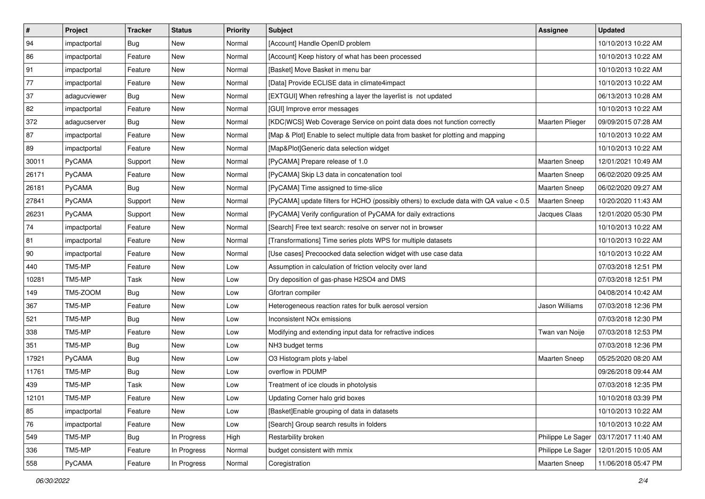| $\pmb{\#}$   | <b>Project</b> | <b>Tracker</b> | <b>Status</b> | <b>Priority</b> | <b>Subject</b>                                                                         | <b>Assignee</b>      | <b>Updated</b>      |
|--------------|----------------|----------------|---------------|-----------------|----------------------------------------------------------------------------------------|----------------------|---------------------|
| 94           | impactportal   | <b>Bug</b>     | New           | Normal          | [Account] Handle OpenID problem                                                        |                      | 10/10/2013 10:22 AM |
| 86           | impactportal   | Feature        | New           | Normal          | [Account] Keep history of what has been processed                                      |                      | 10/10/2013 10:22 AM |
| 91           | impactportal   | Feature        | New           | Normal          | [Basket] Move Basket in menu bar                                                       |                      | 10/10/2013 10:22 AM |
| 77           | impactportal   | Feature        | New           | Normal          | [Data] Provide ECLISE data in climate4impact                                           |                      | 10/10/2013 10:22 AM |
| 37           | adagucviewer   | <b>Bug</b>     | New           | Normal          | [EXTGUI] When refreshing a layer the layerlist is not updated                          |                      | 06/13/2013 10:28 AM |
| 82           | impactportal   | Feature        | New           | Normal          | [GUI] Improve error messages                                                           |                      | 10/10/2013 10:22 AM |
| 372          | adagucserver   | <b>Bug</b>     | New           | Normal          | [KDC WCS] Web Coverage Service on point data does not function correctly               | Maarten Plieger      | 09/09/2015 07:28 AM |
| 87           | impactportal   | Feature        | New           | Normal          | [Map & Plot] Enable to select multiple data from basket for plotting and mapping       |                      | 10/10/2013 10:22 AM |
| 89           | impactportal   | Feature        | New           | Normal          | [Map&Plot]Generic data selection widget                                                |                      | 10/10/2013 10:22 AM |
| 30011        | PyCAMA         | Support        | <b>New</b>    | Normal          | [PyCAMA] Prepare release of 1.0                                                        | Maarten Sneep        | 12/01/2021 10:49 AM |
| 26171        | <b>PyCAMA</b>  | Feature        | New           | Normal          | [PyCAMA] Skip L3 data in concatenation tool                                            | <b>Maarten Sneep</b> | 06/02/2020 09:25 AM |
| 26181        | PyCAMA         | Bug            | New           | Normal          | [PyCAMA] Time assigned to time-slice                                                   | <b>Maarten Sneep</b> | 06/02/2020 09:27 AM |
| 27841        | PyCAMA         | Support        | New           | Normal          | [PyCAMA] update filters for HCHO (possibly others) to exclude data with QA value < 0.5 | Maarten Sneep        | 10/20/2020 11:43 AM |
| 26231        | PyCAMA         | Support        | New           | Normal          | [PyCAMA] Verify configuration of PyCAMA for daily extractions                          | Jacques Claas        | 12/01/2020 05:30 PM |
| 74           | impactportal   | Feature        | New           | Normal          | [Search] Free text search: resolve on server not in browser                            |                      | 10/10/2013 10:22 AM |
| 81           | impactportal   | Feature        | New           | Normal          | [Transformations] Time series plots WPS for multiple datasets                          |                      | 10/10/2013 10:22 AM |
| $ 90\rangle$ | impactportal   | Feature        | New           | Normal          | [Use cases] Precoocked data selection widget with use case data                        |                      | 10/10/2013 10:22 AM |
| 440          | TM5-MP         | Feature        | New           | Low             | Assumption in calculation of friction velocity over land                               |                      | 07/03/2018 12:51 PM |
| 10281        | TM5-MP         | Task           | New           | Low             | Dry deposition of gas-phase H2SO4 and DMS                                              |                      | 07/03/2018 12:51 PM |
| 149          | TM5-ZOOM       | <b>Bug</b>     | New           | Low             | Gfortran compiler                                                                      |                      | 04/08/2014 10:42 AM |
| 367          | TM5-MP         | Feature        | New           | Low             | Heterogeneous reaction rates for bulk aerosol version                                  | Jason Williams       | 07/03/2018 12:36 PM |
| 521          | TM5-MP         | <b>Bug</b>     | New           | Low             | Inconsistent NO <sub>x</sub> emissions                                                 |                      | 07/03/2018 12:30 PM |
| 338          | TM5-MP         | Feature        | New           | Low             | Modifying and extending input data for refractive indices                              | Twan van Noije       | 07/03/2018 12:53 PM |
| 351          | TM5-MP         | Bug            | New           | Low             | NH3 budget terms                                                                       |                      | 07/03/2018 12:36 PM |
| 17921        | PyCAMA         | <b>Bug</b>     | New           | Low             | O3 Histogram plots y-label                                                             | <b>Maarten Sneep</b> | 05/25/2020 08:20 AM |
| 11761        | TM5-MP         | Bug            | New           | Low             | overflow in PDUMP                                                                      |                      | 09/26/2018 09:44 AM |
| 439          | TM5-MP         | Task           | <b>New</b>    | Low             | Treatment of ice clouds in photolysis                                                  |                      | 07/03/2018 12:35 PM |
| 12101        | TM5-MP         | Feature        | New           | Low             | Updating Corner halo grid boxes                                                        |                      | 10/10/2018 03:39 PM |
| 85           | impactportal   | Feature        | New           | Low             | [Basket] Enable grouping of data in datasets                                           |                      | 10/10/2013 10:22 AM |
| 76           | impactportal   | Feature        | New           | Low             | [Search] Group search results in folders                                               |                      | 10/10/2013 10:22 AM |
| 549          | TM5-MP         | Bug            | In Progress   | High            | Restarbility broken                                                                    | Philippe Le Sager    | 03/17/2017 11:40 AM |
| 336          | TM5-MP         | Feature        | In Progress   | Normal          | budget consistent with mmix                                                            | Philippe Le Sager    | 12/01/2015 10:05 AM |
| 558          | PyCAMA         | Feature        | In Progress   | Normal          | Coregistration                                                                         | Maarten Sneep        | 11/06/2018 05:47 PM |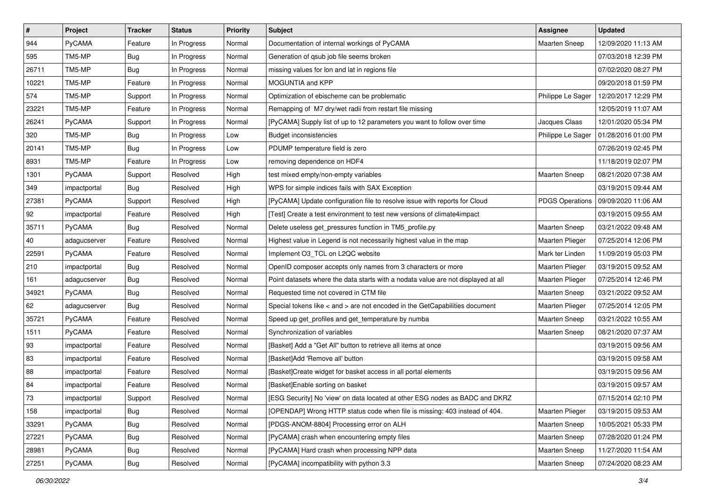| $\sharp$ | Project       | <b>Tracker</b> | <b>Status</b> | <b>Priority</b> | <b>Subject</b>                                                                      | Assignee               | <b>Updated</b>      |
|----------|---------------|----------------|---------------|-----------------|-------------------------------------------------------------------------------------|------------------------|---------------------|
| 944      | <b>PyCAMA</b> | Feature        | In Progress   | Normal          | Documentation of internal workings of PyCAMA                                        | <b>Maarten Sneep</b>   | 12/09/2020 11:13 AM |
| 595      | TM5-MP        | <b>Bug</b>     | In Progress   | Normal          | Generation of qsub job file seems broken                                            |                        | 07/03/2018 12:39 PM |
| 26711    | TM5-MP        | <b>Bug</b>     | In Progress   | Normal          | missing values for lon and lat in regions file                                      |                        | 07/02/2020 08:27 PM |
| 10221    | TM5-MP        | Feature        | In Progress   | Normal          | MOGUNTIA and KPP                                                                    |                        | 09/20/2018 01:59 PM |
| 574      | TM5-MP        | Support        | In Progress   | Normal          | Optimization of ebischeme can be problematic                                        | Philippe Le Sager      | 12/20/2017 12:29 PM |
| 23221    | TM5-MP        | Feature        | In Progress   | Normal          | Remapping of M7 dry/wet radii from restart file missing                             |                        | 12/05/2019 11:07 AM |
| 26241    | PyCAMA        | Support        | In Progress   | Normal          | [PyCAMA] Supply list of up to 12 parameters you want to follow over time            | Jacques Claas          | 12/01/2020 05:34 PM |
| 320      | TM5-MP        | Bug            | In Progress   | Low             | <b>Budget inconsistencies</b>                                                       | Philippe Le Sager      | 01/28/2016 01:00 PM |
| 20141    | TM5-MP        | <b>Bug</b>     | In Progress   | Low             | PDUMP temperature field is zero                                                     |                        | 07/26/2019 02:45 PM |
| 8931     | TM5-MP        | Feature        | In Progress   | Low             | removing dependence on HDF4                                                         |                        | 11/18/2019 02:07 PM |
| 1301     | <b>PyCAMA</b> | Support        | Resolved      | High            | test mixed empty/non-empty variables                                                | <b>Maarten Sneep</b>   | 08/21/2020 07:38 AM |
| 349      | impactportal  | Bug            | Resolved      | High            | WPS for simple indices fails with SAX Exception                                     |                        | 03/19/2015 09:44 AM |
| 27381    | <b>PyCAMA</b> | Support        | Resolved      | High            | [PyCAMA] Update configuration file to resolve issue with reports for Cloud          | <b>PDGS Operations</b> | 09/09/2020 11:06 AM |
| 92       | impactportal  | Feature        | Resolved      | High            | [Test] Create a test environment to test new versions of climate4impact             |                        | 03/19/2015 09:55 AM |
| 35711    | PyCAMA        | <b>Bug</b>     | Resolved      | Normal          | Delete useless get_pressures function in TM5_profile.py                             | <b>Maarten Sneep</b>   | 03/21/2022 09:48 AM |
| 40       | adagucserver  | Feature        | Resolved      | Normal          | Highest value in Legend is not necessarily highest value in the map                 | Maarten Plieger        | 07/25/2014 12:06 PM |
| 22591    | <b>PyCAMA</b> | Feature        | Resolved      | Normal          | Implement O3_TCL on L2QC website                                                    | Mark ter Linden        | 11/09/2019 05:03 PM |
| 210      | impactportal  | <b>Bug</b>     | Resolved      | Normal          | OpenID composer accepts only names from 3 characters or more                        | Maarten Plieger        | 03/19/2015 09:52 AM |
| 161      | adagucserver  | <b>Bug</b>     | Resolved      | Normal          | Point datasets where the data starts with a nodata value are not displayed at all   | Maarten Plieger        | 07/25/2014 12:46 PM |
| 34921    | <b>PyCAMA</b> | <b>Bug</b>     | Resolved      | Normal          | Requested time not covered in CTM file                                              | Maarten Sneep          | 03/21/2022 09:52 AM |
| 62       | adagucserver  | Bug            | Resolved      | Normal          | Special tokens like $\lt$ and $\gt$ are not encoded in the GetCapabilities document | <b>Maarten Plieger</b> | 07/25/2014 12:05 PM |
| 35721    | PyCAMA        | Feature        | Resolved      | Normal          | Speed up get_profiles and get_temperature by numba                                  | Maarten Sneep          | 03/21/2022 10:55 AM |
| 1511     | PyCAMA        | Feature        | Resolved      | Normal          | Synchronization of variables                                                        | Maarten Sneep          | 08/21/2020 07:37 AM |
| 93       | impactportal  | Feature        | Resolved      | Normal          | [Basket] Add a "Get All" button to retrieve all items at once                       |                        | 03/19/2015 09:56 AM |
| 83       | impactportal  | Feature        | Resolved      | Normal          | [Basket]Add 'Remove all' button                                                     |                        | 03/19/2015 09:58 AM |
| 88       | impactportal  | Feature        | Resolved      | Normal          | [Basket]Create widget for basket access in all portal elements                      |                        | 03/19/2015 09:56 AM |
| 84       | impactportal  | Feature        | Resolved      | Normal          | [Basket]Enable sorting on basket                                                    |                        | 03/19/2015 09:57 AM |
| 73       | impactportal  | Support        | Resolved      | Normal          | [ESG Security] No 'view' on data located at other ESG nodes as BADC and DKRZ        |                        | 07/15/2014 02:10 PM |
| 158      | impactportal  | Bug            | Resolved      | Normal          | [OPENDAP] Wrong HTTP status code when file is missing: 403 instead of 404.          | Maarten Plieger        | 03/19/2015 09:53 AM |
| 33291    | PyCAMA        | Bug            | Resolved      | Normal          | [PDGS-ANOM-8804] Processing error on ALH                                            | <b>Maarten Sneep</b>   | 10/05/2021 05:33 PM |
| 27221    | PyCAMA        | <b>Bug</b>     | Resolved      | Normal          | [PyCAMA] crash when encountering empty files                                        | Maarten Sneep          | 07/28/2020 01:24 PM |
| 28981    | PyCAMA        | <b>Bug</b>     | Resolved      | Normal          | [PyCAMA] Hard crash when processing NPP data                                        | Maarten Sneep          | 11/27/2020 11:54 AM |
| 27251    | PyCAMA        | Bug            | Resolved      | Normal          | [PyCAMA] incompatibility with python 3.3                                            | Maarten Sneep          | 07/24/2020 08:23 AM |